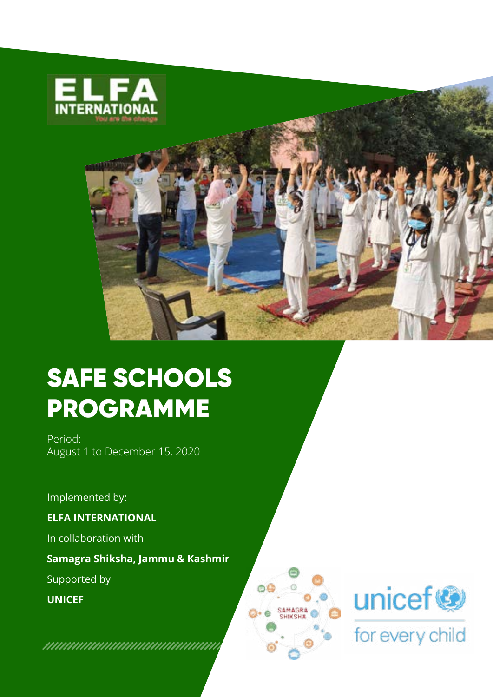



## SAFE SCHOOLS PROGRAMME

Period: August 1 to December 15, 2020

Implemented by:

**ELFA INTERNATIONAL**

In collaboration with

**Samagra Shiksha, Jammu & Kashmir**

Supported by

**UNICEF**

<u>munumumumumumumu</u>



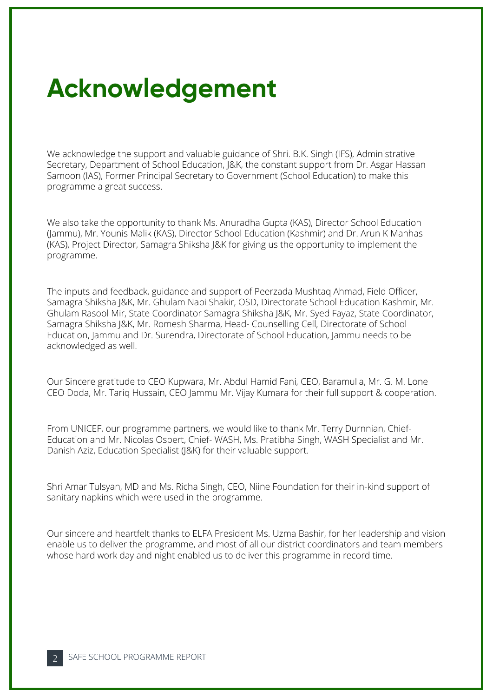## **Acknowledgement**

We acknowledge the support and valuable guidance of Shri. B.K. Singh (IFS), Administrative Secretary, Department of School Education, J&K, the constant support from Dr. Asgar Hassan Samoon (IAS), Former Principal Secretary to Government (School Education) to make this programme a great success.

We also take the opportunity to thank Ms. Anuradha Gupta (KAS), Director School Education (Jammu), Mr. Younis Malik (KAS), Director School Education (Kashmir) and Dr. Arun K Manhas (KAS), Project Director, Samagra Shiksha J&K for giving us the opportunity to implement the programme.

The inputs and feedback, guidance and support of Peerzada Mushtaq Ahmad, Field Officer, Samagra Shiksha J&K, Mr. Ghulam Nabi Shakir, OSD, Directorate School Education Kashmir, Mr. Ghulam Rasool Mir, State Coordinator Samagra Shiksha J&K, Mr. Syed Fayaz, State Coordinator, Samagra Shiksha J&K, Mr. Romesh Sharma, Head- Counselling Cell, Directorate of School Education, Jammu and Dr. Surendra, Directorate of School Education, Jammu needs to be acknowledged as well.

Our Sincere gratitude to CEO Kupwara, Mr. Abdul Hamid Fani, CEO, Baramulla, Mr. G. M. Lone CEO Doda, Mr. Tariq Hussain, CEO Jammu Mr. Vijay Kumara for their full support & cooperation.

From UNICEF, our programme partners, we would like to thank Mr. Terry Durnnian, Chief-Education and Mr. Nicolas Osbert, Chief- WASH, Ms. Pratibha Singh, WASH Specialist and Mr. Danish Aziz, Education Specialist (J&K) for their valuable support.

Shri Amar Tulsyan, MD and Ms. Richa Singh, CEO, Niine Foundation for their in-kind support of sanitary napkins which were used in the programme.

Our sincere and heartfelt thanks to ELFA President Ms. Uzma Bashir, for her leadership and vision enable us to deliver the programme, and most of all our district coordinators and team members whose hard work day and night enabled us to deliver this programme in record time.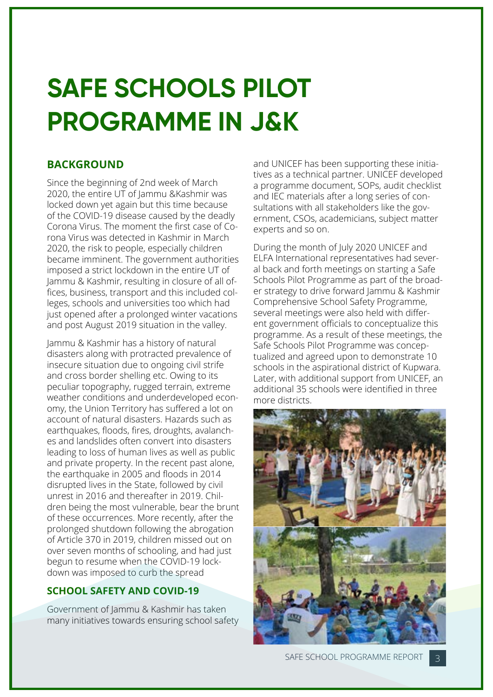# **SAFE SCHOOLS PILOT PROGRAMME IN J&K**

#### **BACKGROUND**

Since the beginning of 2nd week of March 2020, the entire UT of Jammu &Kashmir was locked down yet again but this time because of the COVID-19 disease caused by the deadly Corona Virus. The moment the first case of Corona Virus was detected in Kashmir in March 2020, the risk to people, especially children became imminent. The government authorities imposed a strict lockdown in the entire UT of Jammu & Kashmir, resulting in closure of all offices, business, transport and this included colleges, schools and universities too which had just opened after a prolonged winter vacations and post August 2019 situation in the valley.

Jammu & Kashmir has a history of natural disasters along with protracted prevalence of insecure situation due to ongoing civil strife and cross border shelling etc. Owing to its peculiar topography, rugged terrain, extreme weather conditions and underdeveloped economy, the Union Territory has suffered a lot on account of natural disasters. Hazards such as earthquakes, floods, fires, droughts, avalanches and landslides often convert into disasters leading to loss of human lives as well as public and private property. In the recent past alone, the earthquake in 2005 and floods in 2014 disrupted lives in the State, followed by civil unrest in 2016 and thereafter in 2019. Children being the most vulnerable, bear the brunt of these occurrences. More recently, after the prolonged shutdown following the abrogation of Article 370 in 2019, children missed out on over seven months of schooling, and had just begun to resume when the COVID-19 lockdown was imposed to curb the spread

#### **SCHOOL SAFETY AND COVID-19**

Government of Jammu & Kashmir has taken many initiatives towards ensuring school safety and UNICEF has been supporting these initiatives as a technical partner. UNICEF developed a programme document, SOPs, audit checklist and IEC materials after a long series of consultations with all stakeholders like the government, CSOs, academicians, subject matter experts and so on.

During the month of July 2020 UNICEF and ELFA International representatives had several back and forth meetings on starting a Safe Schools Pilot Programme as part of the broader strategy to drive forward Jammu & Kashmir Comprehensive School Safety Programme, several meetings were also held with different government officials to conceptualize this programme. As a result of these meetings, the Safe Schools Pilot Programme was conceptualized and agreed upon to demonstrate 10 schools in the aspirational district of Kupwara. Later, with additional support from UNICEF, an additional 35 schools were identified in three more districts.

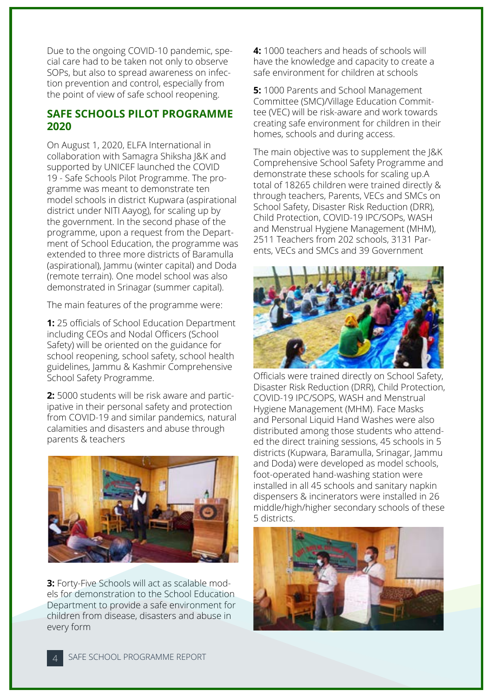Due to the ongoing COVID-10 pandemic, special care had to be taken not only to observe SOPs, but also to spread awareness on infection prevention and control, especially from the point of view of safe school reopening.

#### **SAFE SCHOOLS PILOT PROGRAMME 2020**

On August 1, 2020, ELFA International in collaboration with Samagra Shiksha J&K and supported by UNICEF launched the COVID 19 - Safe Schools Pilot Programme. The programme was meant to demonstrate ten model schools in district Kupwara (aspirational district under NITI Aayog), for scaling up by the government. In the second phase of the programme, upon a request from the Department of School Education, the programme was extended to three more districts of Baramulla (aspirational), Jammu (winter capital) and Doda (remote terrain). One model school was also demonstrated in Srinagar (summer capital).

The main features of the programme were:

**1:** 25 officials of School Education Department including CEOs and Nodal Officers (School Safety) will be oriented on the guidance for school reopening, school safety, school health guidelines, Jammu & Kashmir Comprehensive School Safety Programme.

**2:** 5000 students will be risk aware and participative in their personal safety and protection from COVID-19 and similar pandemics, natural calamities and disasters and abuse through parents & teachers



**3:** Forty-Five Schools will act as scalable models for demonstration to the School Education Department to provide a safe environment for children from disease, disasters and abuse in every form

**4:** 1000 teachers and heads of schools will have the knowledge and capacity to create a safe environment for children at schools

**5:** 1000 Parents and School Management Committee (SMC)/Village Education Committee (VEC) will be risk-aware and work towards creating safe environment for children in their homes, schools and during access.

The main objective was to supplement the J&K Comprehensive School Safety Programme and demonstrate these schools for scaling up.A total of 18265 children were trained directly & through teachers, Parents, VECs and SMCs on School Safety, Disaster Risk Reduction (DRR), Child Protection, COVID-19 IPC/SOPs, WASH and Menstrual Hygiene Management (MHM), 2511 Teachers from 202 schools, 3131 Parents, VECs and SMCs and 39 Government



Officials were trained directly on School Safety, Disaster Risk Reduction (DRR), Child Protection, COVID-19 IPC/SOPS, WASH and Menstrual Hygiene Management (MHM). Face Masks and Personal Liquid Hand Washes were also distributed among those students who attended the direct training sessions, 45 schools in 5 districts (Kupwara, Baramulla, Srinagar, Jammu and Doda) were developed as model schools, foot-operated hand-washing station were installed in all 45 schools and sanitary napkin dispensers & incinerators were installed in 26 middle/high/higher secondary schools of these 5 districts.

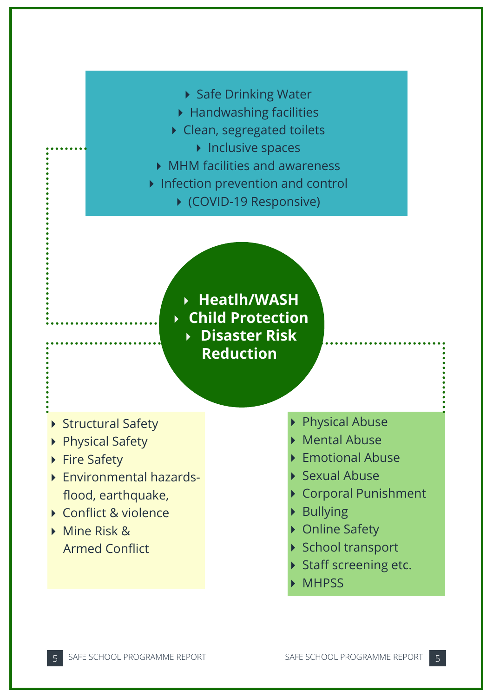- ▶ Safe Drinking Water
- ▶ Handwashing facilities
- Clean, segregated toilets
	- $\blacktriangleright$  Inclusive spaces
- ▶ MHM facilities and awareness
- **Infection prevention and control** 
	- (COVID-19 Responsive)

 **Heatlh/WASH Child Protection Disaster Risk Reduction**

- ▶ Structural Safety
- ▶ Physical Safety
- ▶ Fire Safety
- Environmental hazards flood, earthquake,
- ▶ Conflict & violence
- Mine Risk & Armed Conflict
- ▶ Physical Abuse
- Mental Abuse
- Emotional Abuse
- Sexual Abuse
- ▶ Corporal Punishment
- Bullying
- ▶ Online Safety
- ▶ School transport
- Staff screening etc.
- **MHPSS**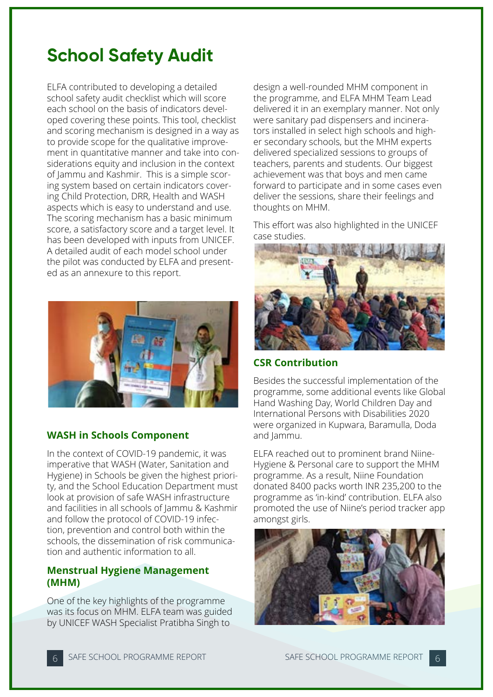### **School Safety Audit**

ELFA contributed to developing a detailed school safety audit checklist which will score each school on the basis of indicators developed covering these points. This tool, checklist and scoring mechanism is designed in a way as to provide scope for the qualitative improvement in quantitative manner and take into considerations equity and inclusion in the context of Jammu and Kashmir. This is a simple scoring system based on certain indicators covering Child Protection, DRR, Health and WASH aspects which is easy to understand and use. The scoring mechanism has a basic minimum score, a satisfactory score and a target level. It has been developed with inputs from UNICEF. A detailed audit of each model school under the pilot was conducted by ELFA and presented as an annexure to this report.



#### **WASH in Schools Component**

In the context of COVID-19 pandemic, it was imperative that WASH (Water, Sanitation and Hygiene) in Schools be given the highest priority, and the School Education Department must look at provision of safe WASH infrastructure and facilities in all schools of Jammu & Kashmir and follow the protocol of COVID-19 infection, prevention and control both within the schools, the dissemination of risk communication and authentic information to all.

#### **Menstrual Hygiene Management (MHM)**

One of the key highlights of the programme was its focus on MHM. ELFA team was guided by UNICEF WASH Specialist Pratibha Singh to

design a well-rounded MHM component in the programme, and ELFA MHM Team Lead delivered it in an exemplary manner. Not only were sanitary pad dispensers and incinerators installed in select high schools and higher secondary schools, but the MHM experts delivered specialized sessions to groups of teachers, parents and students. Our biggest achievement was that boys and men came forward to participate and in some cases even deliver the sessions, share their feelings and thoughts on MHM.

This effort was also highlighted in the UNICEF case studies.



#### **CSR Contribution**

Besides the successful implementation of the programme, some additional events like Global Hand Washing Day, World Children Day and International Persons with Disabilities 2020 were organized in Kupwara, Baramulla, Doda and Jammu.

ELFA reached out to prominent brand Niine-Hygiene & Personal care to support the MHM programme. As a result, Niine Foundation donated 8400 packs worth INR 235,200 to the programme as 'in-kind' contribution. ELFA also promoted the use of Niine's period tracker app amongst girls.

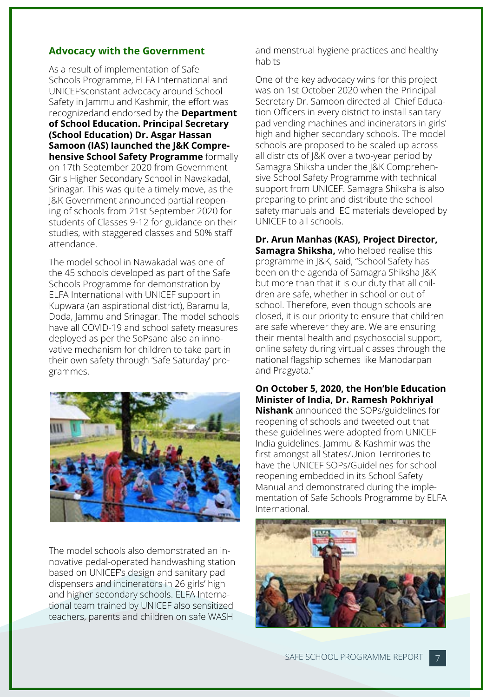#### **Advocacy with the Government**

As a result of implementation of Safe Schools Programme, ELFA International and UNICEF'sconstant advocacy around School Safety in Jammu and Kashmir, the effort was recognizedand endorsed by the **Department of School Education. Principal Secretary (School Education) Dr. Asgar Hassan Samoon (IAS) launched the J&K Comprehensive School Safety Programme** formally on 17th September 2020 from Government Girls Higher Secondary School in Nawakadal, Srinagar. This was quite a timely move, as the J&K Government announced partial reopening of schools from 21st September 2020 for students of Classes 9-12 for guidance on their studies, with staggered classes and 50% staff attendance.

The model school in Nawakadal was one of the 45 schools developed as part of the Safe Schools Programme for demonstration by ELFA International with UNICEF support in Kupwara (an aspirational district), Baramulla, Doda, Jammu and Srinagar. The model schools have all COVID-19 and school safety measures deployed as per the SoPsand also an innovative mechanism for children to take part in their own safety through 'Safe Saturday' programmes.



The model schools also demonstrated an innovative pedal-operated handwashing station based on UNICEF's design and sanitary pad dispensers and incinerators in 26 girls' high and higher secondary schools. ELFA International team trained by UNICEF also sensitized teachers, parents and children on safe WASH

and menstrual hygiene practices and healthy habits

One of the key advocacy wins for this project was on 1st October 2020 when the Principal Secretary Dr. Samoon directed all Chief Education Officers in every district to install sanitary pad vending machines and incinerators in girls' high and higher secondary schools. The model schools are proposed to be scaled up across all districts of J&K over a two-year period by Samagra Shiksha under the J&K Comprehensive School Safety Programme with technical support from UNICEF. Samagra Shiksha is also preparing to print and distribute the school safety manuals and IEC materials developed by UNICEF to all schools.

#### **Dr. Arun Manhas (KAS), Project Director, Samagra Shiksha,** who helped realise this

programme in J&K, said, "School Safety has been on the agenda of Samagra Shiksha J&K but more than that it is our duty that all children are safe, whether in school or out of school. Therefore, even though schools are closed, it is our priority to ensure that children are safe wherever they are. We are ensuring their mental health and psychosocial support, online safety during virtual classes through the national flagship schemes like Manodarpan and Pragyata."

**On October 5, 2020, the Hon'ble Education Minister of India, Dr. Ramesh Pokhriyal Nishank** announced the SOPs/guidelines for reopening of schools and tweeted out that these guidelines were adopted from UNICEF India guidelines. Jammu & Kashmir was the first amongst all States/Union Territories to have the UNICEF SOPs/Guidelines for school reopening embedded in its School Safety Manual and demonstrated during the implementation of Safe Schools Programme by ELFA International.

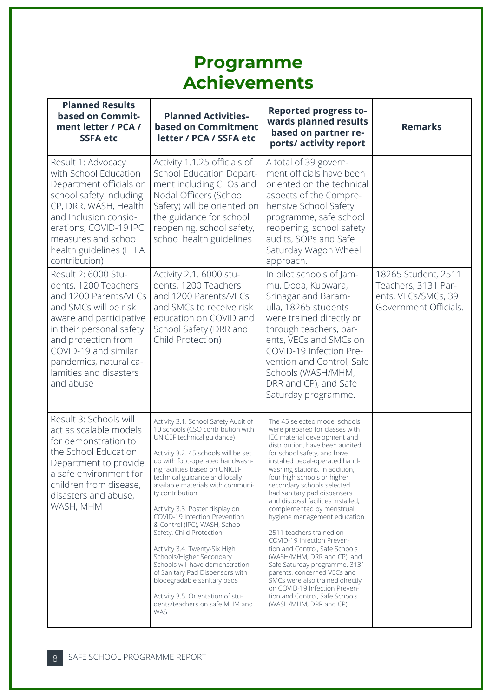### **Programme Achievements**

| <b>Planned Results</b><br>based on Commit-<br>ment letter / PCA /<br><b>SSFA etc</b>                                                                                                                                                                                 | <b>Planned Activities-</b><br>based on Commitment<br>letter / PCA / SSFA etc                                                                                                                                                                                                                                                                                                                                                                                                                                                                                                                                                                                                                     | <b>Reported progress to-</b><br>wards planned results<br>based on partner re-<br>ports/ activity report                                                                                                                                                                                                                                                                                                                                                                                                                                                                                                                                                                                                                                                           | <b>Remarks</b>                                                                             |
|----------------------------------------------------------------------------------------------------------------------------------------------------------------------------------------------------------------------------------------------------------------------|--------------------------------------------------------------------------------------------------------------------------------------------------------------------------------------------------------------------------------------------------------------------------------------------------------------------------------------------------------------------------------------------------------------------------------------------------------------------------------------------------------------------------------------------------------------------------------------------------------------------------------------------------------------------------------------------------|-------------------------------------------------------------------------------------------------------------------------------------------------------------------------------------------------------------------------------------------------------------------------------------------------------------------------------------------------------------------------------------------------------------------------------------------------------------------------------------------------------------------------------------------------------------------------------------------------------------------------------------------------------------------------------------------------------------------------------------------------------------------|--------------------------------------------------------------------------------------------|
| Result 1: Advocacy<br>with School Education<br>Department officials on<br>school safety including<br>CP, DRR, WASH, Health<br>and Inclusion consid-<br>erations, COVID-19 IPC<br>measures and school<br>health guidelines (ELFA<br>contribution)                     | Activity 1.1.25 officials of<br><b>School Education Depart-</b><br>ment including CEOs and<br>Nodal Officers (School<br>Safety) will be oriented on<br>the guidance for school<br>reopening, school safety,<br>school health guidelines                                                                                                                                                                                                                                                                                                                                                                                                                                                          | A total of 39 govern-<br>ment officials have been<br>oriented on the technical<br>aspects of the Compre-<br>hensive School Safety<br>programme, safe school<br>reopening, school safety<br>audits, SOPs and Safe<br>Saturday Wagon Wheel<br>approach.                                                                                                                                                                                                                                                                                                                                                                                                                                                                                                             |                                                                                            |
| Result 2: 6000 Stu-<br>dents, 1200 Teachers<br>and 1200 Parents/VECs<br>and SMCs will be risk<br>aware and participative<br>in their personal safety<br>and protection from<br>COVID-19 and similar<br>pandemics, natural ca-<br>lamities and disasters<br>and abuse | Activity 2.1. 6000 stu-<br>dents, 1200 Teachers<br>and 1200 Parents/VECs<br>and SMCs to receive risk<br>education on COVID and<br>School Safety (DRR and<br>Child Protection)                                                                                                                                                                                                                                                                                                                                                                                                                                                                                                                    | In pilot schools of Jam-<br>mu, Doda, Kupwara,<br>Srinagar and Baram-<br>ulla, 18265 students<br>were trained directly or<br>through teachers, par-<br>ents, VECs and SMCs on<br>COVID-19 Infection Pre-<br>vention and Control, Safe<br>Schools (WASH/MHM,<br>DRR and CP), and Safe<br>Saturday programme.                                                                                                                                                                                                                                                                                                                                                                                                                                                       | 18265 Student, 2511<br>Teachers, 3131 Par-<br>ents, VECs/SMCs, 39<br>Government Officials. |
| Result 3: Schools will<br>act as scalable models<br>for demonstration to<br>the School Education<br>Department to provide<br>a safe environment for<br>children from disease,<br>disasters and abuse,<br>WASH, MHM                                                   | Activity 3.1. School Safety Audit of<br>10 schools (CSO contribution with<br>UNICEF technical guidance)<br>Activity 3.2. 45 schools will be set<br>up with foot-operated handwash-<br>ing facilities based on UNICEF<br>technical guidance and locally<br>available materials with communi-<br>ty contribution<br>Activity 3.3. Poster display on<br>COVID-19 Infection Prevention<br>& Control (IPC), WASH, School<br>Safety, Child Protection<br>Activity 3.4. Twenty-Six High<br>Schools/Higher Secondary<br>Schools will have demonstration<br>of Sanitary Pad Dispensors with<br>biodegradable sanitary pads<br>Activity 3.5. Orientation of stu-<br>dents/teachers on safe MHM and<br>WASH | The 45 selected model schools<br>were prepared for classes with<br>IEC material development and<br>distribution, have been audited<br>for school safety, and have<br>installed pedal-operated hand-<br>washing stations. In addition,<br>four high schools or higher<br>secondary schools selected<br>had sanitary pad dispensers<br>and disposal facilities installed,<br>complemented by menstrual<br>hygiene management education.<br>2511 teachers trained on<br>COVID-19 Infection Preven-<br>tion and Control, Safe Schools<br>(WASH/MHM, DRR and CP), and<br>Safe Saturday programme. 3131<br>parents, concerned VECs and<br>SMCs were also trained directly<br>on COVID-19 Infection Preven-<br>tion and Control, Safe Schools<br>(WASH/MHM, DRR and CP). |                                                                                            |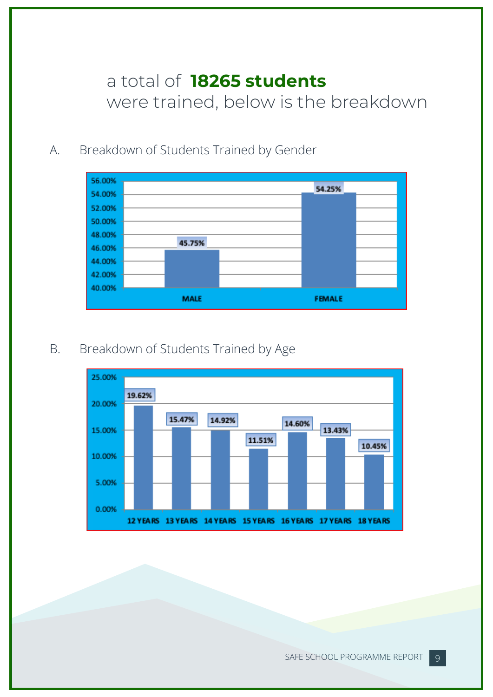### a total of **18265 students** were trained, below is the breakdown

### A. Breakdown of Students Trained by Gender



### B. Breakdown of Students Trained by Age

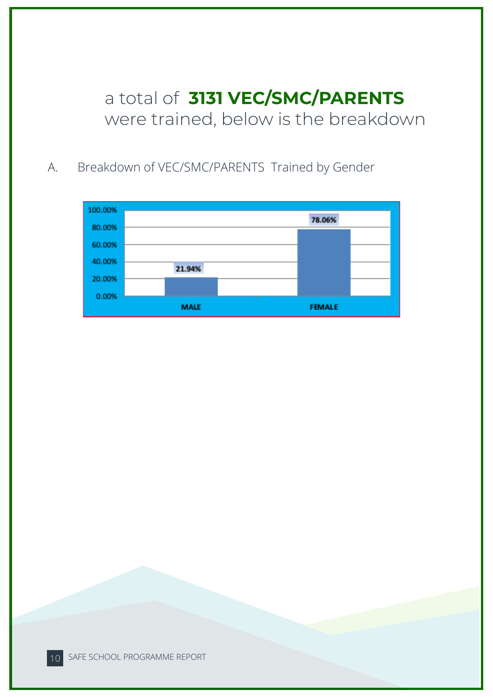### a total of **3131 VEC/SMC/PARENTS**  were trained, below is the breakdown

### A. Breakdown of VEC/SMC/PARENTS Trained by Gender

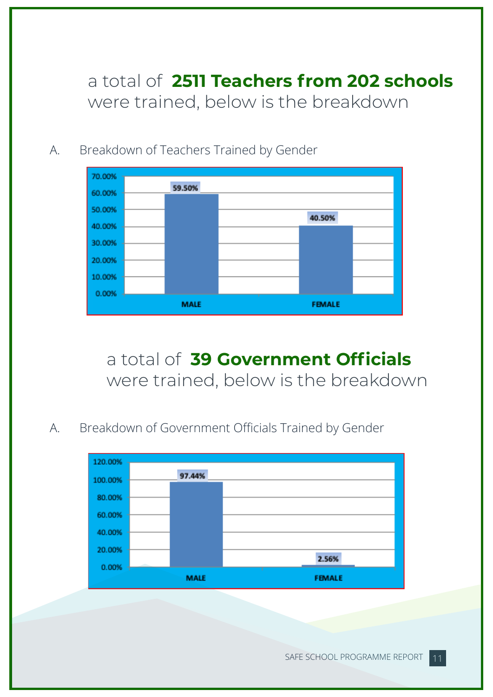a total of **2511 Teachers from 202 schools** were trained, below is the breakdown

A. Breakdown of Teachers Trained by Gender



a total of **39 Government Officials** were trained, below is the breakdown

A. Breakdown of Government Officials Trained by Gender

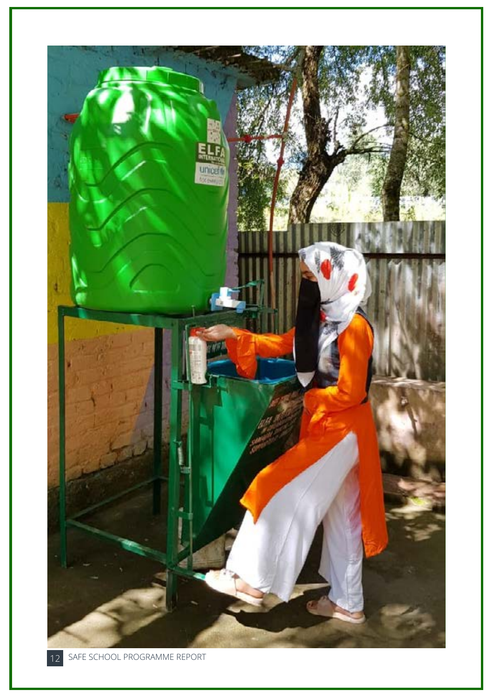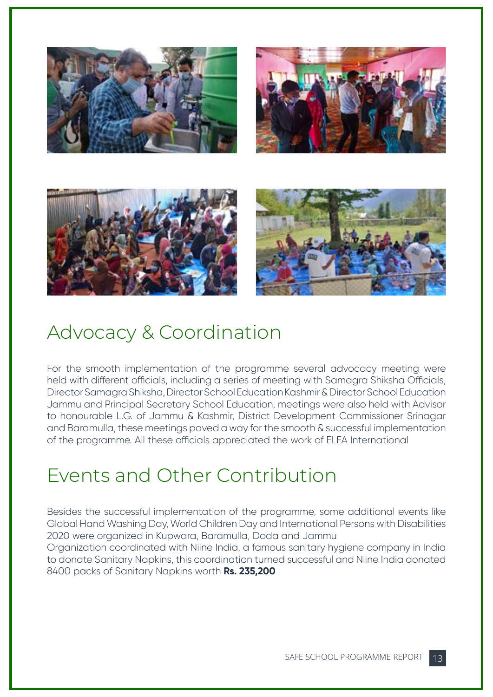





### Advocacy & Coordination

For the smooth implementation of the programme several advocacy meeting were held with different officials, including a series of meeting with Samagra Shiksha Officials, Director Samagra Shiksha, Director School Education Kashmir & Director School Education Jammu and Principal Secretary School Education, meetings were also held with Advisor to honourable L.G. of Jammu & Kashmir, District Development Commissioner Srinagar and Baramulla, these meetings paved a way for the smooth & successful implementation of the programme. All these officials appreciated the work of ELFA International

### Events and Other Contribution

Besides the successful implementation of the programme, some additional events like Global Hand Washing Day, World Children Day and International Persons with Disabilities 2020 were organized in Kupwara, Baramulla, Doda and Jammu

Organization coordinated with Niine India, a famous sanitary hygiene company in India to donate Sanitary Napkins, this coordination turned successful and Niine India donated 8400 packs of Sanitary Napkins worth **Rs. 235,200**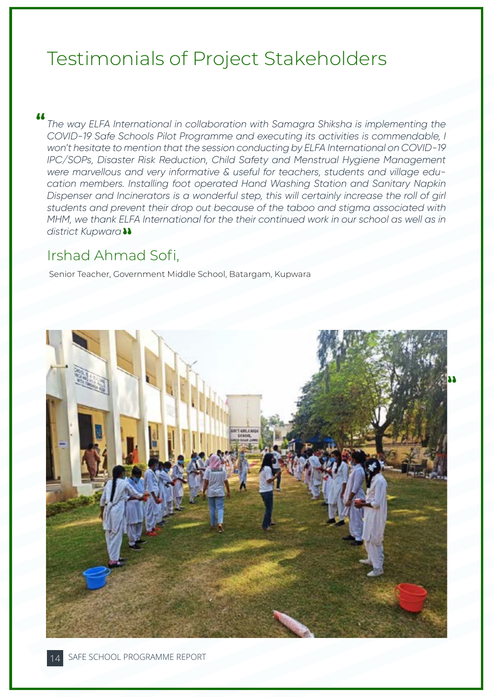## Testimonials of Project Stakeholders

**" "***district KupwaraThe way ELFA International in collaboration with Samagra Shiksha is implementing the COVID-19 Safe Schools Pilot Programme and executing its activities is commendable, I won't hesitate to mention that the session conducting by ELFA International on COVID-19 IPC/SOPs, Disaster Risk Reduction, Child Safety and Menstrual Hygiene Management were marvellous and very informative & useful for teachers, students and village education members. Installing foot operated Hand Washing Station and Sanitary Napkin Dispenser and Incinerators is a wonderful step, this will certainly increase the roll of girl students and prevent their drop out because of the taboo and stigma associated with MHM, we thank ELFA International for the their continued work in our school as well as in* 

### Irshad Ahmad Sofi,

Senior Teacher, Government Middle School, Batargam, Kupwara

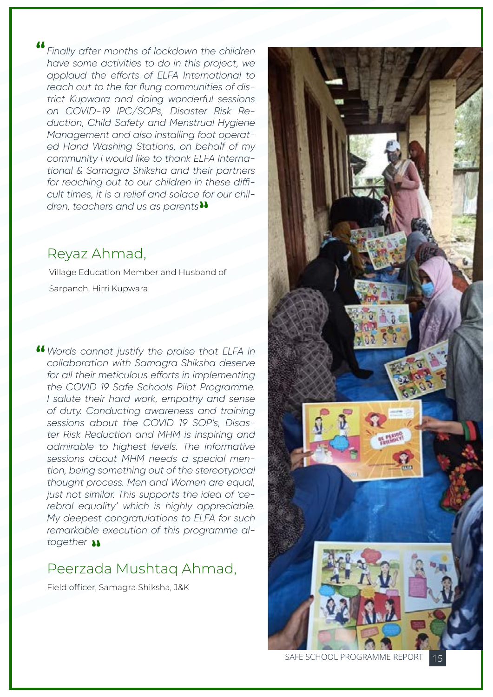**"***dren, teachers and us as parents***"***Finally after months of lockdown the children have some activities to do in this project, we applaud the efforts of ELFA International to reach out to the far flung communities of dis trict Kupwara and doing wonderful sessions on COVID-19 IPC/SOPs, Disaster Risk Re duction, Child Safety and Menstrual Hygiene Management and also installing foot operat ed Hand Washing Stations, on behalf of my community I would like to thank ELFA Interna tional & Samagra Shiksha and their partners for reaching out to our children in these diffi cult times, it is a relief and solace for our chil -*

### Reyaz Ahmad,

 Village Education Member and Husband of Sarpanch, Hirri Kupwara

**"** *Words cannot justify the praise that ELFA in*  **"***together collaboration with Samagra Shiksha deserve for all their meticulous efforts in implementing the COVID 19 Safe Schools Pilot Programme. I salute their hard work, empathy and sense of duty. Conducting awareness and training sessions about the COVID 19 SOP's, Disas ter Risk Reduction and MHM is inspiring and admirable to highest levels. The informative sessions about MHM needs a special men tion, being something out of the stereotypical thought process. Men and Women are equal, just not similar. This supports the idea of 'ce rebral equality' which is highly appreciable. My deepest congratulations to ELFA for such remarkable execution of this programme al -*

### Peerzada Mushtaq Ahmad,

Field officer, Samagra Shiksha, J&K



SAFE SCHOOL PROGRAMME REPORT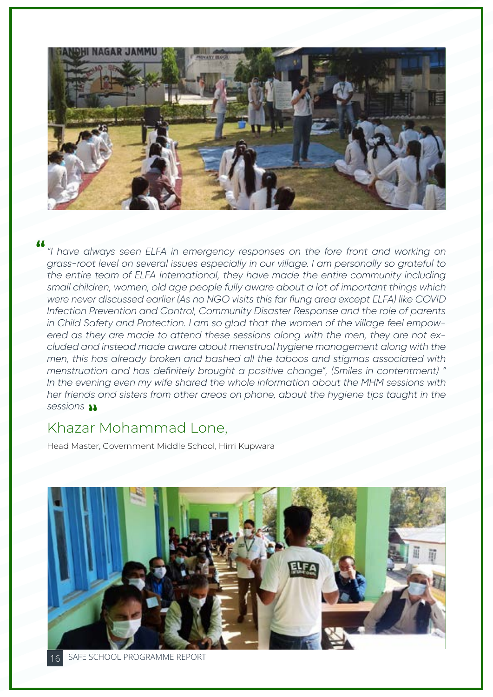

### **"**

**"***sessions"I have always seen ELFA in emergency responses on the fore front and working on grass-root level on several issues especially in our village. I am personally so grateful to the entire team of ELFA International, they have made the entire community including small children, women, old age people fully aware about a lot of important things which were never discussed earlier (As no NGO visits this far flung area except ELFA) like COVID Infection Prevention and Control, Community Disaster Response and the role of parents in Child Safety and Protection. I am so glad that the women of the village feel empowered as they are made to attend these sessions along with the men, they are not excluded and instead made aware about menstrual hygiene management along with the men, this has already broken and bashed all the taboos and stigmas associated with menstruation and has definitely brought a positive change", (Smiles in contentment) "*  In the evening even my wife shared the whole information about the MHM sessions with *her friends and sisters from other areas on phone, about the hygiene tips taught in the* 

### Khazar Mohammad Lone,

Head Master, Government Middle School, Hirri Kupwara

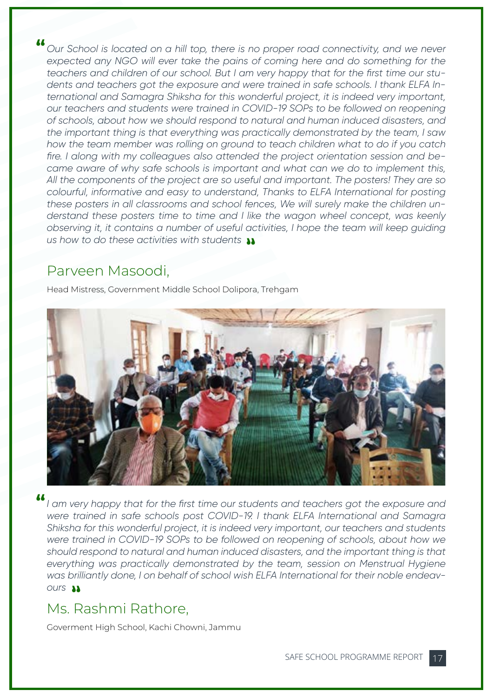**" "***us how to do these activities with students Our School is located on a hill top, there is no proper road connectivity, and we never*  expected any NGO will ever take the pains of coming here and do something for the *teachers and children of our school. But I am very happy that for the first time our students and teachers got the exposure and were trained in safe schools. I thank ELFA International and Samagra Shiksha for this wonderful project, it is indeed very important, our teachers and students were trained in COVID-19 SOPs to be followed on reopening of schools, about how we should respond to natural and human induced disasters, and the important thing is that everything was practically demonstrated by the team, I saw how the team member was rolling on ground to teach children what to do if you catch fire. I along with my colleagues also attended the project orientation session and became aware of why safe schools is important and what can we do to implement this, All the components of the project are so useful and important. The posters! They are so colourful, informative and easy to understand, Thanks to ELFA International for posting these posters in all classrooms and school fences, We will surely make the children un*derstand these posters time to time and I like the wagon wheel concept, was keenly *observing it, it contains a number of useful activities, I hope the team will keep guiding* 

### Parveen Masoodi,

Head Mistress, Government Middle School Dolipora, Trehgam



**"***oursI am very happy that for the first time our students and teachers got the exposure and were trained in safe schools post COVID-19. I thank ELFA International and Samagra Shiksha for this wonderful project, it is indeed very important, our teachers and students were trained in COVID-19 SOPs to be followed on reopening of schools, about how we should respond to natural and human induced disasters, and the important thing is that everything was practically demonstrated by the team, session on Menstrual Hygiene was brilliantly done, I on behalf of school wish ELFA International for their noble endeav-*

### Ms. Rashmi Rathore,

Goverment High School, Kachi Chowni, Jammu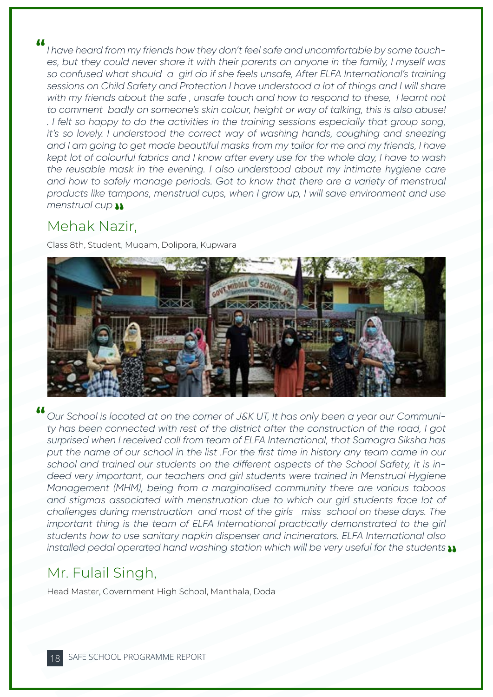**"**

**"***menstrual cup I have heard from my friends how they don't feel safe and uncomfortable by some touch*es, but they could never share it with their parents on anyone in the family, I myself was *so confused what should a girl do if she feels unsafe, After ELFA International's training sessions on Child Safety and Protection I have understood a lot of things and I will share with my friends about the safe , unsafe touch and how to respond to these, I learnt not to comment badly on someone's skin colour, height or way of talking, this is also abuse! . I felt so happy to do the activities in the training sessions especially that group song, it's so lovely. I understood the correct way of washing hands, coughing and sneezing and I am going to get made beautiful masks from my tailor for me and my friends, I have kept lot of colourful fabrics and I know after every use for the whole day, I have to wash the reusable mask in the evening. I also understood about my intimate hygiene care*  and how to safely manage periods. Got to know that there are a variety of menstrual *products like tampons, menstrual cups, when I grow up, I will save environment and use* 

### Mehak Nazir,

Class 8th, Student, Muqam, Dolipora, Kupwara



**" "***installed pedal operated hand washing station which will be very useful for the studentsOur School is located at on the corner of J&K UT, It has only been a year our Community has been connected with rest of the district after the construction of the road, I got surprised when I received call from team of ELFA International, that Samagra Siksha has put the name of our school in the list .For the first time in history any team came in our school and trained our students on the different aspects of the School Safety, it is in*deed very important, our teachers and airl students were trained in Menstrual Hygiene *Management (MHM), being from a marginalised community there are various taboos*  and stigmas associated with menstruation due to which our girl students face lot of *challenges during menstruation and most of the girls miss school on these days. The important thing is the team of ELFA International practically demonstrated to the girl students how to use sanitary napkin dispenser and incinerators. ELFA International also* 

### Mr. Fulail Singh,

Head Master, Government High School, Manthala, Doda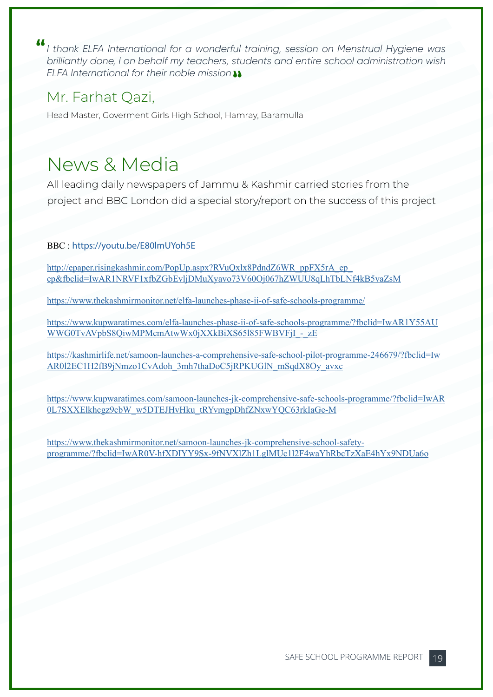**"** *I thank ELFA International for a wonderful training, session on Menstrual Hygiene was*  **"***ELFA International for their noble mission brilliantly done, I on behalf my teachers, students and entire school administration wish* 

### Mr. Farhat Qazi,

Head Master, Goverment Girls High School, Hamray, Baramulla

### News & Media

All leading daily newspapers of Jammu & Kashmir carried stories from the project and BBC London did a special story/report on the success of this project

BBC : [https://youtu.be/E80lmUYoh5E](https://youtu.be/E80lmUYoh5E?fbclid=IwAR2jlGvcjFwxVHMewXqKNJF98ObUAGV3f8NRO9UihSnkQtKtb1FEuYlD2qg)

[http://epaper.risingkashmir.com/PopUp.aspx?RVuQxlx8PdndZ6WR\\_ppFX5rA\\_ep\\_](http://epaper.risingkashmir.com/PopUp.aspx?RVuQxlx8PdndZ6WR_ppFX5rA_ep_ep&fbclid=IwAR1NRVF1xfbZGbEvljDMuXyavo73V60Oj067hZWUU8qLhTbLNf4kB5vaZsM) [ep&fbclid=IwAR1NRVF1xfbZGbEvljDMuXyavo73V60Oj067hZWUU8qLhTbLNf4kB5vaZsM](http://epaper.risingkashmir.com/PopUp.aspx?RVuQxlx8PdndZ6WR_ppFX5rA_ep_ep&fbclid=IwAR1NRVF1xfbZGbEvljDMuXyavo73V60Oj067hZWUU8qLhTbLNf4kB5vaZsM)

<https://www.thekashmirmonitor.net/elfa-launches-phase-ii-of-safe-schools-programme/>

[https://www.kupwaratimes.com/elfa-launches-phase-ii-of-safe-schools-programme/?fbclid=IwAR1Y55AU](https://www.kupwaratimes.com/elfa-launches-phase-ii-of-safe-schools-programme/?fbclid=IwAR1Y55AUWWG0TvAVpbS8QiwMPMcmAtwWx0jXXkBiXS65l85FWBVFjI_-_zE) WWG0TvAVpbS8QiwMPMcmAtwWx0jXXkBiXS65l85FWBVFjI - zE

[https://kashmirlife.net/samoon-launches-a-comprehensive-safe-school-pilot-programme-246679/?fbclid=Iw](https://kashmirlife.net/samoon-launches-a-comprehensive-safe-school-pilot-programme-246679/?fbclid=IwAR0l2EC1H2fB9jNmzo1CvAdoh_3mh7thaDoC5jRPKUGlN_mSqdX8Oy_avxc) [AR0l2EC1H2fB9jNmzo1CvAdoh\\_3mh7thaDoC5jRPKUGlN\\_mSqdX8Oy\\_avxc](https://kashmirlife.net/samoon-launches-a-comprehensive-safe-school-pilot-programme-246679/?fbclid=IwAR0l2EC1H2fB9jNmzo1CvAdoh_3mh7thaDoC5jRPKUGlN_mSqdX8Oy_avxc)

[https://www.kupwaratimes.com/samoon-launches-jk-comprehensive-safe-schools-programme/?fbclid=IwAR](https://www.kupwaratimes.com/samoon-launches-jk-comprehensive-safe-schools-programme/?fbclid=IwAR0L7SXXElkhcgz9cbW_w5DTEJHvHku_tRYvmgpDhfZNxwYQC63rkIaGe-M) [0L7SXXElkhcgz9cbW\\_w5DTEJHvHku\\_tRYvmgpDhfZNxwYQC63rkIaGe-M](https://www.kupwaratimes.com/samoon-launches-jk-comprehensive-safe-schools-programme/?fbclid=IwAR0L7SXXElkhcgz9cbW_w5DTEJHvHku_tRYvmgpDhfZNxwYQC63rkIaGe-M)

[https://www.thekashmirmonitor.net/samoon-launches-jk-comprehensive-school-safety](https://www.thekashmirmonitor.net/samoon-launches-jk-comprehensive-school-safety-programme/?fbclid=IwAR0V-hfXDIYY9Sx-9fNVXlZh1LglMUc1l2F4waYhRbcTzXaE4hYx9NDUa6o)[programme/?fbclid=IwAR0V-hfXDIYY9Sx-9fNVXlZh1LglMUc1l2F4waYhRbcTzXaE4hYx9NDUa6o](https://www.thekashmirmonitor.net/samoon-launches-jk-comprehensive-school-safety-programme/?fbclid=IwAR0V-hfXDIYY9Sx-9fNVXlZh1LglMUc1l2F4waYhRbcTzXaE4hYx9NDUa6o)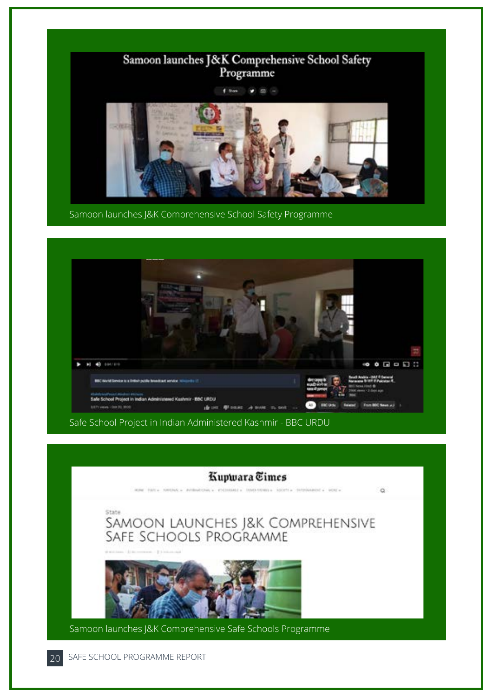### Samoon launches J&K Comprehensive School Safety Programme



Samoon launches J&K Comprehensive School Safety Programme



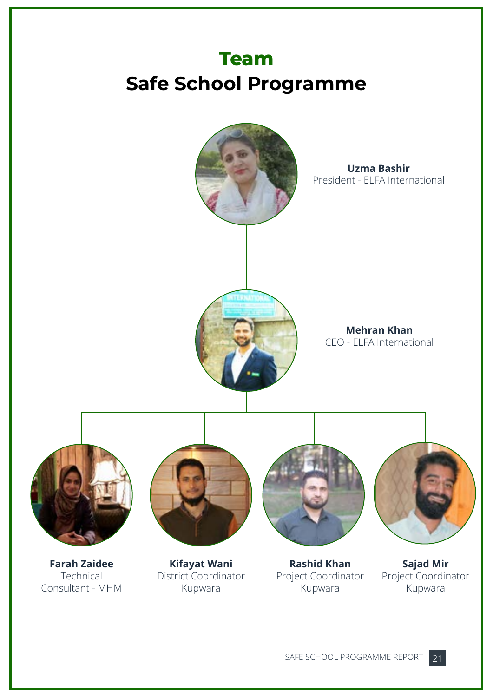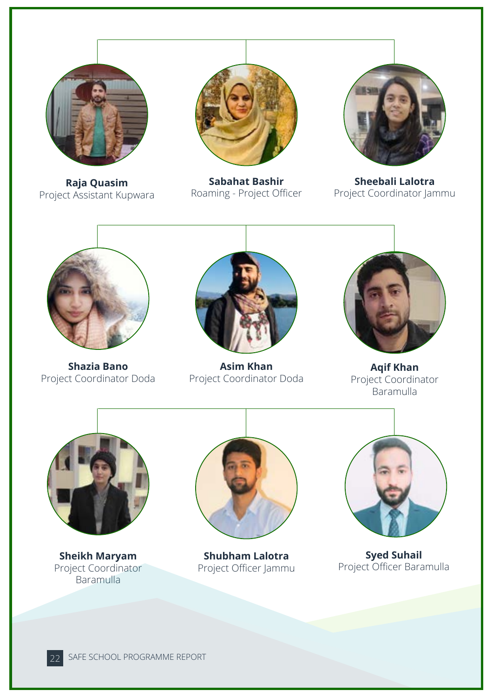

**Raja Quasim** Project Assistant Kupwara



**Sabahat Bashir** Roaming - Project Officer



**Sheebali Lalotra** Project Coordinator Jammu



**Shazia Bano** Project Coordinator Doda



**Asim Khan** Project Coordinator Doda



**Aqif Khan** Project Coordinator Baramulla



**Sheikh Maryam** Project Coordinator Baramulla



**Shubham Lalotra** Project Officer Jammu



**Syed Suhail** Project Officer Baramulla